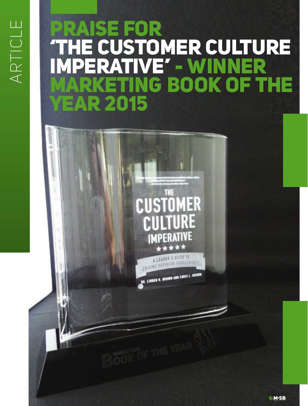# ARTICLE ARTICLE

# PRAISE FOR THE CUSTOMER CULTURE ERATIVE' - WINNER ING BOOK OF THE **R2015**

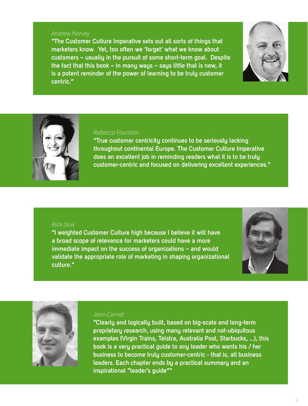### Andrew Harvey

**"The Customer Culture Imperative sets out all sorts of things that marketers know. Yet, too often we 'forget' what we know about customers – usually in the pursuit of some short-term goal. Despite the fact that this book – in many ways – says little that is new, it is a potent reminder of the power of learning to be truly customer centric."**





#### Rebecca Fountain

**"True customer centricity continues to be seriously lacking throughout continental Europe. The Customer Culture Imperative does an excellent job in reminding readers what it is to be truly customer-centric and focused on delivering excellent experiences."**

### Rick Dow

**"I weighted Customer Culture high because I believe it will have a broad scope of relevance for marketers could have a more immediate impact on the success of organizations – and would validate the appropriate role of marketing in shaping organizational culture."**





### Jean Cornet

**"Clearly and logically built, based on big-scale and long-term proprietary research, using many relevant and not-ubiquitous examples (Virgin Trains, Telstra, Australia Post, Starbucks, ...), this book is a very practical guide to any leader who wants his / her business to become truly customer-centric - that is, all business leaders. Each chapter ends by a practical summary and an inspirational "leader's guide""**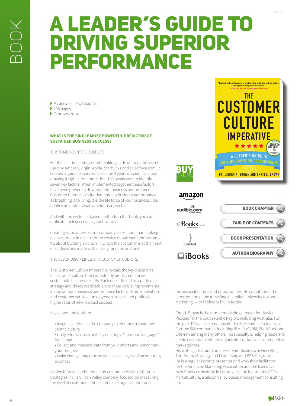## A LEADER'S GUIDE TO DRIVING SUPERIOR PERFORMANCE

McGraw-Hill Professional

- ▶ 208 pages
- February 2014

#### **WHAT IS THE SINGLE MOST POWERFUL PREDICTOR OF SUSTAINED BUSINESS SUCCESS?**

CUSTOMER-CENTRIC CULTURE

For the first time, this groundbreaking guide unlocks the secrets used by Amazon, Virgin, Apple, Starbucks and salesforce.com. It creates a guide for success based on 3 years of scientific study drawing insights from more than 100 businesses to identify seven key factors. When implemented together these factors have been proven to drive superior business performance. Customer Culture is as fundamental to business performance as breathing is to living. It is the life force of your business. This applies no matter what your industry sector.

And with the evidence-based methods in this book, you can replicate their success in your business!

Creating a customer-centric company takes more than making an investment in the customer service department and systems. It's about building a culture in which the customer is at the heart of all decisions made within every function and unit.

THE SEVEN DISCIPLINES OF A CUSTOMER CULTURE

The Customer Culture Imperative reveals the key disciplines of customer culture that consistently predict enhanced, sustainable business results. Each one is linked to a particular strategy and drives predictable and measurable improvements in one or more business performance factors—from innovation and customer satisfaction to growth in sales and profits to higher rates of new-product success.

It gives you the tools to:

• Inspire everyone in the company to embrace a customercentric culture

• Unify efforts across units by creating a "common language" for change

• Collect and measure data from your efforts and benchmark your progress

• Make change long term so you leave a legacy of an enduring business

Linden R Brown is chairman and cofounder of MarketCulture Strategies Inc., a Silicon Valley company focused on measuring the level of customer-centric cultures of organizations and



the associated risks and opportunities. He co-authored the latest edition of the #1 selling Australian university textbook, Marketing, with Professor Philip Kotler.

Chris L Brown is the former marketing director for Hewlett-Packard for the South Pacific Region, including Australia. For the past 10 years he has consulted to the leadership teams of Fortune 500 companies including IBM, PwC, 3M, BlackRock and Chevron among many others. His specialty is helping leaders to create customer-centered organizations that win in competitive marketplaces.

His writing is featured on the Harvard Business Review Blog, The JournalStrategy and Leadership and B2B Magazine. He is a regular keynote presenter and workshop facilitator for the American Marketing Association and the Executive Next Practices Institute in Los Angeles. He is currently CEO of MarketCulture, a Silicon Valley-based management consulting firm.